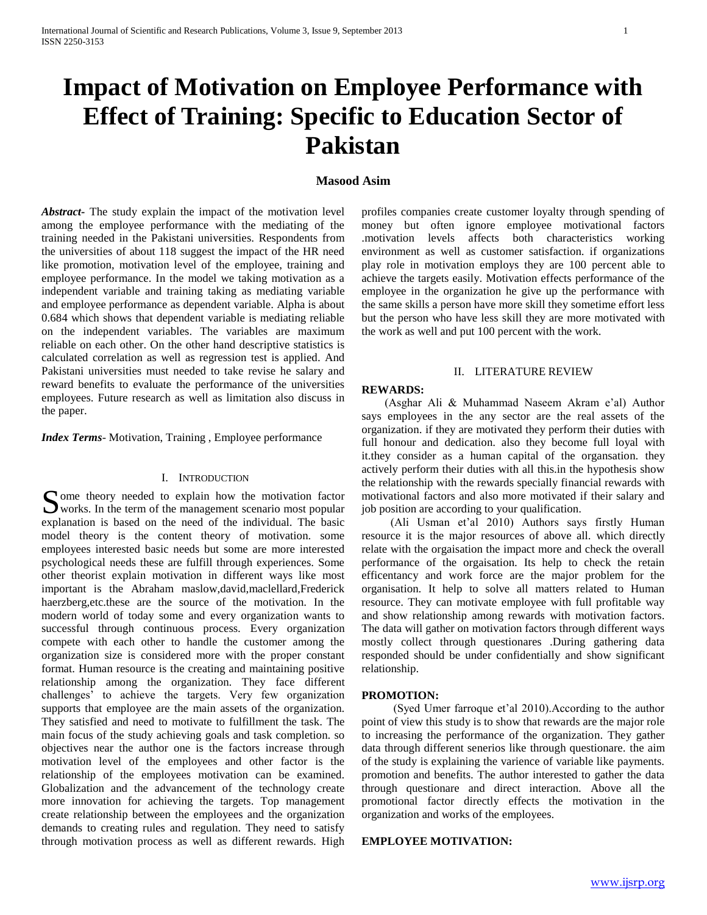# **Impact of Motivation on Employee Performance with Effect of Training: Specific to Education Sector of Pakistan**

# **Masood Asim**

*Abstract***-** The study explain the impact of the motivation level among the employee performance with the mediating of the training needed in the Pakistani universities. Respondents from the universities of about 118 suggest the impact of the HR need like promotion, motivation level of the employee, training and employee performance. In the model we taking motivation as a independent variable and training taking as mediating variable and employee performance as dependent variable. Alpha is about 0.684 which shows that dependent variable is mediating reliable on the independent variables. The variables are maximum reliable on each other. On the other hand descriptive statistics is calculated correlation as well as regression test is applied. And Pakistani universities must needed to take revise he salary and reward benefits to evaluate the performance of the universities employees. Future research as well as limitation also discuss in the paper.

*Index Terms*- Motivation, Training , Employee performance

# I. INTRODUCTION

Some theory needed to explain how the motivation factor works. In the term of the management scenario most popular works. In the term of the management scenario most popular explanation is based on the need of the individual. The basic model theory is the content theory of motivation. some employees interested basic needs but some are more interested psychological needs these are fulfill through experiences. Some other theorist explain motivation in different ways like most important is the Abraham maslow,david,maclellard,Frederick haerzberg,etc.these are the source of the motivation. In the modern world of today some and every organization wants to successful through continuous process. Every organization compete with each other to handle the customer among the organization size is considered more with the proper constant format. Human resource is the creating and maintaining positive relationship among the organization. They face different challenges' to achieve the targets. Very few organization supports that employee are the main assets of the organization. They satisfied and need to motivate to fulfillment the task. The main focus of the study achieving goals and task completion. so objectives near the author one is the factors increase through motivation level of the employees and other factor is the relationship of the employees motivation can be examined. Globalization and the advancement of the technology create more innovation for achieving the targets. Top management create relationship between the employees and the organization demands to creating rules and regulation. They need to satisfy through motivation process as well as different rewards. High

profiles companies create customer loyalty through spending of money but often ignore employee motivational factors .motivation levels affects both characteristics working environment as well as customer satisfaction. if organizations play role in motivation employs they are 100 percent able to achieve the targets easily. Motivation effects performance of the employee in the organization he give up the performance with the same skills a person have more skill they sometime effort less but the person who have less skill they are more motivated with the work as well and put 100 percent with the work.

#### II. LITERATURE REVIEW

#### **REWARDS:**

 (Asghar Ali & Muhammad Naseem Akram e'al) Author says employees in the any sector are the real assets of the organization. if they are motivated they perform their duties with full honour and dedication. also they become full loyal with it.they consider as a human capital of the organsation. they actively perform their duties with all this.in the hypothesis show the relationship with the rewards specially financial rewards with motivational factors and also more motivated if their salary and job position are according to your qualification.

 (Ali Usman et'al 2010) Authors says firstly Human resource it is the major resources of above all. which directly relate with the orgaisation the impact more and check the overall performance of the orgaisation. Its help to check the retain efficentancy and work force are the major problem for the organisation. It help to solve all matters related to Human resource. They can motivate employee with full profitable way and show relationship among rewards with motivation factors. The data will gather on motivation factors through different ways mostly collect through questionares .During gathering data responded should be under confidentially and show significant relationship.

#### **PROMOTION:**

 (Syed Umer farroque et'al 2010).According to the author point of view this study is to show that rewards are the major role to increasing the performance of the organization. They gather data through different senerios like through questionare. the aim of the study is explaining the varience of variable like payments. promotion and benefits. The author interested to gather the data through questionare and direct interaction. Above all the promotional factor directly effects the motivation in the organization and works of the employees.

## **EMPLOYEE MOTIVATION:**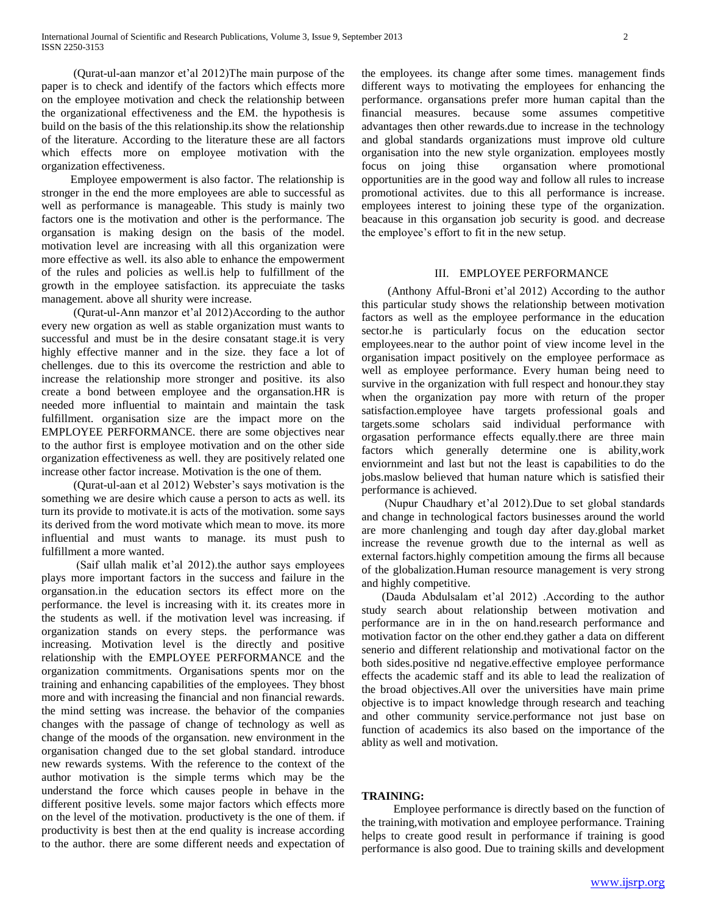(Qurat-ul-aan manzor et'al 2012)The main purpose of the paper is to check and identify of the factors which effects more on the employee motivation and check the relationship between the organizational effectiveness and the EM. the hypothesis is build on the basis of the this relationship.its show the relationship of the literature. According to the literature these are all factors which effects more on employee motivation with the organization effectiveness.

 Employee empowerment is also factor. The relationship is stronger in the end the more employees are able to successful as well as performance is manageable. This study is mainly two factors one is the motivation and other is the performance. The organsation is making design on the basis of the model. motivation level are increasing with all this organization were more effective as well. its also able to enhance the empowerment of the rules and policies as well.is help to fulfillment of the growth in the employee satisfaction. its apprecuiate the tasks management. above all shurity were increase.

 (Qurat-ul-Ann manzor et'al 2012)According to the author every new orgation as well as stable organization must wants to successful and must be in the desire consatant stage.it is very highly effective manner and in the size. they face a lot of chellenges. due to this its overcome the restriction and able to increase the relationship more stronger and positive. its also create a bond between employee and the organsation.HR is needed more influential to maintain and maintain the task fulfillment. organisation size are the impact more on the EMPLOYEE PERFORMANCE. there are some objectives near to the author first is employee motivation and on the other side organization effectiveness as well. they are positively related one increase other factor increase. Motivation is the one of them.

 (Qurat-ul-aan et al 2012) Webster's says motivation is the something we are desire which cause a person to acts as well. its turn its provide to motivate.it is acts of the motivation. some says its derived from the word motivate which mean to move. its more influential and must wants to manage. its must push to fulfillment a more wanted.

 (Saif ullah malik et'al 2012).the author says employees plays more important factors in the success and failure in the organsation.in the education sectors its effect more on the performance. the level is increasing with it. its creates more in the students as well. if the motivation level was increasing. if organization stands on every steps. the performance was increasing. Motivation level is the directly and positive relationship with the EMPLOYEE PERFORMANCE and the organization commitments. Organisations spents mor on the training and enhancing capabilities of the employees. They bhost more and with increasing the financial and non financial rewards. the mind setting was increase. the behavior of the companies changes with the passage of change of technology as well as change of the moods of the organsation. new environment in the organisation changed due to the set global standard. introduce new rewards systems. With the reference to the context of the author motivation is the simple terms which may be the understand the force which causes people in behave in the different positive levels. some major factors which effects more on the level of the motivation. productivety is the one of them. if productivity is best then at the end quality is increase according to the author. there are some different needs and expectation of the employees. its change after some times. management finds different ways to motivating the employees for enhancing the performance. organsations prefer more human capital than the financial measures. because some assumes competitive advantages then other rewards.due to increase in the technology and global standards organizations must improve old culture organisation into the new style organization. employees mostly focus on joing thise organsation where promotional opportunities are in the good way and follow all rules to increase promotional activites. due to this all performance is increase. employees interest to joining these type of the organization. beacause in this organsation job security is good. and decrease the employee's effort to fit in the new setup.

# III. EMPLOYEE PERFORMANCE

 (Anthony Afful-Broni et'al 2012) According to the author this particular study shows the relationship between motivation factors as well as the employee performance in the education sector.he is particularly focus on the education sector employees.near to the author point of view income level in the organisation impact positively on the employee performace as well as employee performance. Every human being need to survive in the organization with full respect and honour.they stay when the organization pay more with return of the proper satisfaction.employee have targets professional goals and targets.some scholars said individual performance with orgasation performance effects equally.there are three main factors which generally determine one is ability,work enviornmeint and last but not the least is capabilities to do the jobs.maslow believed that human nature which is satisfied their performance is achieved.

 (Nupur Chaudhary et'al 2012).Due to set global standards and change in technological factors businesses around the world are more chanlenging and tough day after day.global market increase the revenue growth due to the internal as well as external factors.highly competition amoung the firms all because of the globalization.Human resource management is very strong and highly competitive.

 (Dauda Abdulsalam et'al 2012) .According to the author study search about relationship between motivation and performance are in in the on hand.research performance and motivation factor on the other end.they gather a data on different senerio and different relationship and motivational factor on the both sides.positive nd negative.effective employee performance effects the academic staff and its able to lead the realization of the broad objectives.All over the universities have main prime objective is to impact knowledge through research and teaching and other community service.performance not just base on function of academics its also based on the importance of the ablity as well and motivation.

#### **TRAINING:**

 Employee performance is directly based on the function of the training,with motivation and employee performance. Training helps to create good result in performance if training is good performance is also good. Due to training skills and development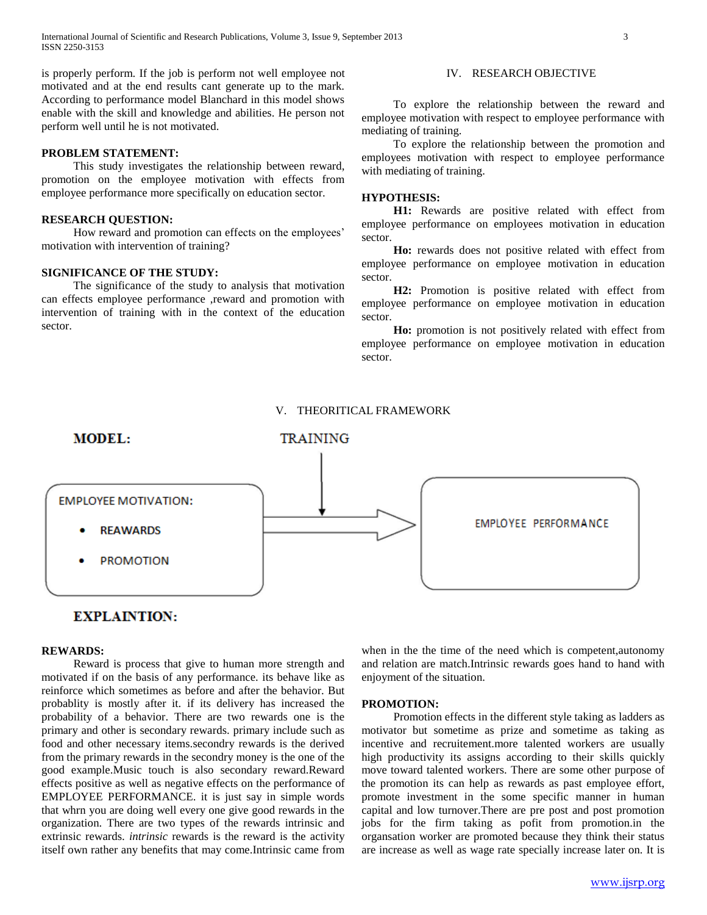is properly perform. If the job is perform not well employee not motivated and at the end results cant generate up to the mark. According to performance model Blanchard in this model shows enable with the skill and knowledge and abilities. He person not perform well until he is not motivated.

# **PROBLEM STATEMENT:**

 This study investigates the relationship between reward, promotion on the employee motivation with effects from employee performance more specifically on education sector.

#### **RESEARCH QUESTION:**

 How reward and promotion can effects on the employees' motivation with intervention of training?

# **SIGNIFICANCE OF THE STUDY:**

 The significance of the study to analysis that motivation can effects employee performance ,reward and promotion with intervention of training with in the context of the education sector.

#### IV. RESEARCH OBJECTIVE

 To explore the relationship between the reward and employee motivation with respect to employee performance with mediating of training.

 To explore the relationship between the promotion and employees motivation with respect to employee performance with mediating of training.

#### **HYPOTHESIS:**

 **H1:** Rewards are positive related with effect from employee performance on employees motivation in education sector.

Ho: rewards does not positive related with effect from employee performance on employee motivation in education sector.

 **H2:** Promotion is positive related with effect from employee performance on employee motivation in education sector.

 **Ho:** promotion is not positively related with effect from employee performance on employee motivation in education sector.

# V. THEORITICAL FRAMEWORK



# **EXPLAINTION:**

# **REWARDS:**

 Reward is process that give to human more strength and motivated if on the basis of any performance. its behave like as reinforce which sometimes as before and after the behavior. But probablity is mostly after it. if its delivery has increased the probability of a behavior. There are two rewards one is the primary and other is secondary rewards. primary include such as food and other necessary items.secondry rewards is the derived from the primary rewards in the secondry money is the one of the good example.Music touch is also secondary reward.Reward effects positive as well as negative effects on the performance of EMPLOYEE PERFORMANCE. it is just say in simple words that whrn you are doing well every one give good rewards in the organization. There are two types of the rewards intrinsic and extrinsic rewards. *intrinsic* rewards is the reward is the activity itself own rather any benefits that may come.Intrinsic came from when in the the time of the need which is competent,autonomy and relation are match.Intrinsic rewards goes hand to hand with enjoyment of the situation.

#### **PROMOTION:**

 Promotion effects in the different style taking as ladders as motivator but sometime as prize and sometime as taking as incentive and recruitement.more talented workers are usually high productivity its assigns according to their skills quickly move toward talented workers. There are some other purpose of the promotion its can help as rewards as past employee effort, promote investment in the some specific manner in human capital and low turnover.There are pre post and post promotion jobs for the firm taking as pofit from promotion.in the organsation worker are promoted because they think their status are increase as well as wage rate specially increase later on. It is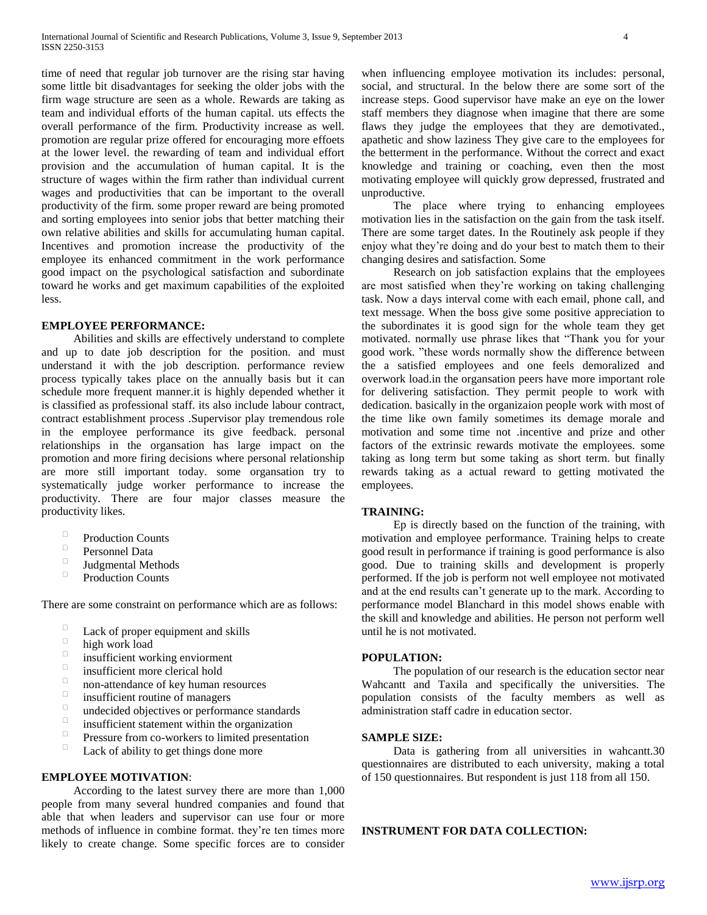time of need that regular job turnover are the rising star having some little bit disadvantages for seeking the older jobs with the firm wage structure are seen as a whole. Rewards are taking as team and individual efforts of the human capital. uts effects the overall performance of the firm. Productivity increase as well. promotion are regular prize offered for encouraging more effoets at the lower level. the rewarding of team and individual effort provision and the accumulation of human capital. It is the structure of wages within the firm rather than individual current wages and productivities that can be important to the overall productivity of the firm. some proper reward are being promoted and sorting employees into senior jobs that better matching their own relative abilities and skills for accumulating human capital. Incentives and promotion increase the productivity of the employee its enhanced commitment in the work performance good impact on the psychological satisfaction and subordinate toward he works and get maximum capabilities of the exploited less.

#### **EMPLOYEE PERFORMANCE:**

 Abilities and skills are effectively understand to complete and up to date job description for the position. and must understand it with the job description. performance review process typically takes place on the annually basis but it can schedule more frequent manner.it is highly depended whether it is classified as professional staff. its also include labour contract, contract establishment process .Supervisor play tremendous role in the employee performance its give feedback. personal relationships in the organsation has large impact on the promotion and more firing decisions where personal relationship are more still important today. some organsation try to systematically judge worker performance to increase the productivity. There are four major classes measure the productivity likes.

- $\Box$ Production Counts
- $\Box$ Personnel Data
- $\Box$ Judgmental Methods
- $\Box$ Production Counts

There are some constraint on performance which are as follows:

- Lack of proper equipment and skills
- $\Box$ high work load
- $\Box$ insufficient working enviorment
- $\Box$ insufficient more clerical hold
- $\Box$ non-attendance of key human resources
- $\Box$ insufficient routine of managers
- $\Box$ undecided objectives or performance standards
- $\Box$ insufficient statement within the organization
- $\Box$ Pressure from co-workers to limited presentation
- $\Box$ Lack of ability to get things done more

#### **EMPLOYEE MOTIVATION**:

 According to the latest survey there are more than 1,000 people from many several hundred companies and found that able that when leaders and supervisor can use four or more methods of influence in combine format. they're ten times more likely to create change. Some specific forces are to consider

when influencing employee motivation its includes: personal, social, and structural. In the below there are some sort of the increase steps. Good supervisor have make an eye on the lower staff members they diagnose when imagine that there are some flaws they judge the employees that they are demotivated., apathetic and show laziness They give care to the employees for the betterment in the performance. Without the correct and exact knowledge and training or coaching, even then the most motivating employee will quickly grow depressed, frustrated and unproductive.

 The place where trying to enhancing employees motivation lies in the satisfaction on the gain from the task itself. There are some target dates. In the Routinely ask people if they enjoy what they're doing and do your best to match them to their changing desires and satisfaction. Some

 Research on job satisfaction explains that the employees are most satisfied when they're working on taking challenging task. Now a days interval come with each email, phone call, and text message. When the boss give some positive appreciation to the subordinates it is good sign for the whole team they get motivated. normally use phrase likes that "Thank you for your good work. "these words normally show the difference between the a satisfied employees and one feels demoralized and overwork load.in the organsation peers have more important role for delivering satisfaction. They permit people to work with dedication. basically in the organizaion people work with most of the time like own family sometimes its demage morale and motivation and some time not .incentive and prize and other factors of the extrinsic rewards motivate the employees. some taking as long term but some taking as short term. but finally rewards taking as a actual reward to getting motivated the employees.

#### **TRAINING:**

 Ep is directly based on the function of the training, with motivation and employee performance. Training helps to create good result in performance if training is good performance is also good. Due to training skills and development is properly performed. If the job is perform not well employee not motivated and at the end results can't generate up to the mark. According to performance model Blanchard in this model shows enable with the skill and knowledge and abilities. He person not perform well until he is not motivated.

#### **POPULATION:**

 The population of our research is the education sector near Wahcantt and Taxila and specifically the universities. The population consists of the faculty members as well as administration staff cadre in education sector.

#### **SAMPLE SIZE:**

 Data is gathering from all universities in wahcantt.30 questionnaires are distributed to each university, making a total of 150 questionnaires. But respondent is just 118 from all 150.

#### **INSTRUMENT FOR DATA COLLECTION:**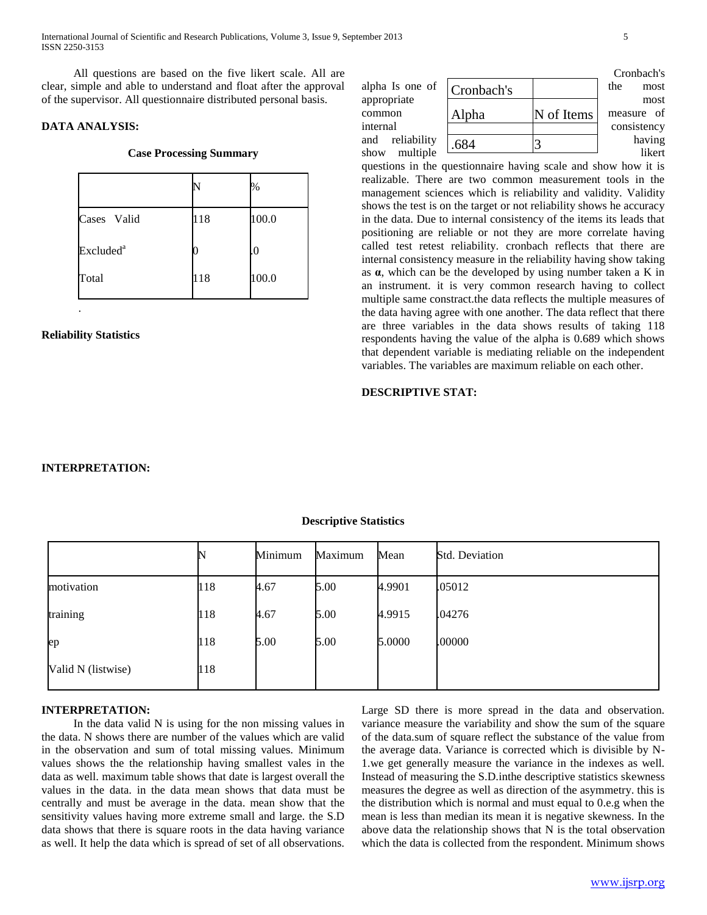International Journal of Scientific and Research Publications, Volume 3, Issue 9, September 2013 5 ISSN 2250-3153

 All questions are based on the five likert scale. All are clear, simple and able to understand and float after the approval of the supervisor. All questionnaire distributed personal basis.

# **DATA ANALYSIS:**

#### **Case Processing Summary**

|                       |     | $\%$  |
|-----------------------|-----|-------|
| Cases Valid           | 118 | 100.0 |
| Excluded <sup>a</sup> |     | .0    |
| Total                 | 118 | 100.0 |

**Reliability Statistics**

.

|                                |       |            | Cronbach's  |
|--------------------------------|-------|------------|-------------|
| alpha Is one of $ $ Cronbach's |       |            | the<br>most |
| appropriate                    |       |            | most        |
| common                         | Alpha | N of Items | measure of  |
| internal                       |       |            | consistency |
| and reliability                | .684  |            | having      |
| multiple<br>show               |       |            | likert      |

questions in the questionnaire having scale and show how it is realizable. There are two common measurement tools in the management sciences which is reliability and validity. Validity shows the test is on the target or not reliability shows he accuracy in the data. Due to internal consistency of the items its leads that positioning are reliable or not they are more correlate having called test retest reliability. cronbach reflects that there are internal consistency measure in the reliability having show taking as **α**, which can be the developed by using number taken a K in an instrument. it is very common research having to collect multiple same constract.the data reflects the multiple measures of the data having agree with one another. The data reflect that there are three variables in the data shows results of taking 118 respondents having the value of the alpha is 0.689 which shows that dependent variable is mediating reliable on the independent variables. The variables are maximum reliable on each other.

# **DESCRIPTIVE STAT:**

#### **INTERPRETATION:**

|                    |     | Minimum | Maximum | Mean   | <b>Std. Deviation</b> |
|--------------------|-----|---------|---------|--------|-----------------------|
| motivation         | 118 | 4.67    | 5.00    | 4.9901 | .05012                |
| training           | 118 | 4.67    | 5.00    | 4.9915 | .04276                |
| ep                 | 118 | 5.00    | 5.00    | 5.0000 | .00000                |
| Valid N (listwise) | 118 |         |         |        |                       |

#### **Descriptive Statistics**

#### **INTERPRETATION:**

 In the data valid N is using for the non missing values in the data. N shows there are number of the values which are valid in the observation and sum of total missing values. Minimum values shows the the relationship having smallest vales in the data as well. maximum table shows that date is largest overall the values in the data. in the data mean shows that data must be centrally and must be average in the data. mean show that the sensitivity values having more extreme small and large. the S.D data shows that there is square roots in the data having variance as well. It help the data which is spread of set of all observations.

Large SD there is more spread in the data and observation. variance measure the variability and show the sum of the square of the data.sum of square reflect the substance of the value from the average data. Variance is corrected which is divisible by N-1.we get generally measure the variance in the indexes as well. Instead of measuring the S.D.inthe descriptive statistics skewness measures the degree as well as direction of the asymmetry. this is the distribution which is normal and must equal to 0.e.g when the mean is less than median its mean it is negative skewness. In the above data the relationship shows that N is the total observation which the data is collected from the respondent. Minimum shows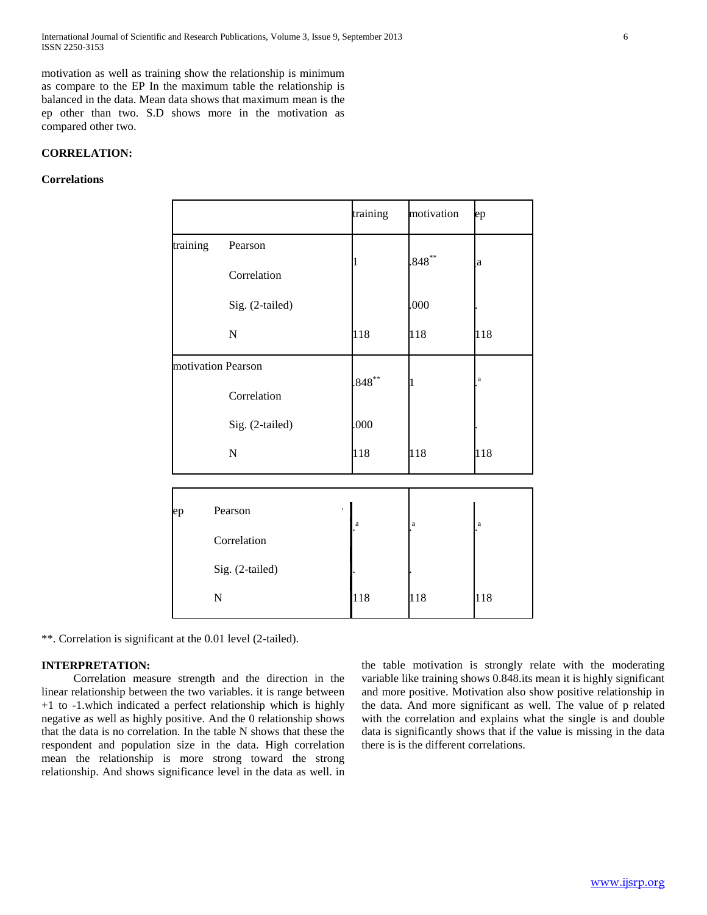International Journal of Scientific and Research Publications, Volume 3, Issue 9, September 2013 6 ISSN 2250-3153

motivation as well as training show the relationship is minimum as compare to the EP In the maximum table the relationship is balanced in the data. Mean data shows that maximum mean is the ep other than two. S.D shows more in the motivation as compared other two.

# **CORRELATION:**

### **Correlations**

|          |                                           | training    | motivation  | ep           |
|----------|-------------------------------------------|-------------|-------------|--------------|
| training | Pearson<br>Correlation                    |             | $.848***$   | $\mathbf{a}$ |
|          | Sig. (2-tailed)<br>$\mathbf N$            | 118         | .000<br>118 | 118          |
|          | motivation Pearson<br>Correlation         | $.848***$   |             | $\bf{a}$     |
|          | Sig. (2-tailed)<br>$\mathbf N$            | .000<br>118 | 118         | 118          |
| ep       | Pearson<br>Correlation<br>Sig. (2-tailed) | $\rm{a}$    | $\rm{a}$    | $\rm{a}$     |
|          | $\mathbf N$                               | 118         | 118         | 118          |

\*\*. Correlation is significant at the 0.01 level (2-tailed).

# **INTERPRETATION:**

 Correlation measure strength and the direction in the linear relationship between the two variables. it is range between +1 to -1.which indicated a perfect relationship which is highly negative as well as highly positive. And the 0 relationship shows that the data is no correlation. In the table N shows that these the respondent and population size in the data. High correlation mean the relationship is more strong toward the strong relationship. And shows significance level in the data as well. in

the table motivation is strongly relate with the moderating variable like training shows 0.848.its mean it is highly significant and more positive. Motivation also show positive relationship in the data. And more significant as well. The value of p related with the correlation and explains what the single is and double data is significantly shows that if the value is missing in the data there is is the different correlations.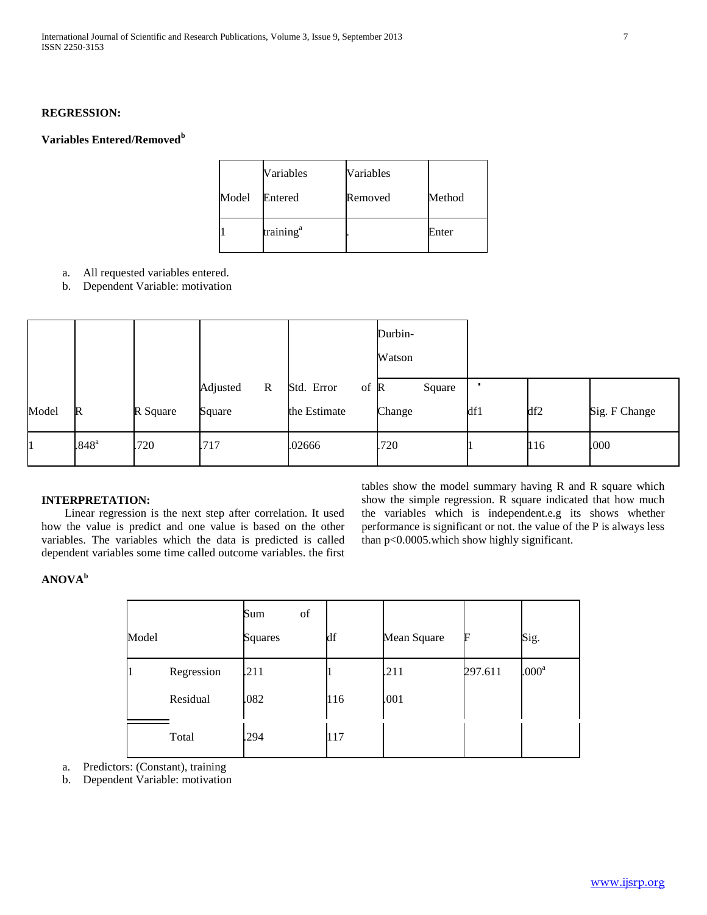# **REGRESSION:**

# **Variables Entered/Removed<sup>b</sup>**

|       | Variables             | Variables |        |
|-------|-----------------------|-----------|--------|
| Model | Entered               | Removed   | Method |
|       | training <sup>a</sup> |           | Enter  |

- a. All requested variables entered.
- b. Dependent Variable: motivation

|       |                     |          |                         |                              | Durbin-<br>Watson |     |                 |               |
|-------|---------------------|----------|-------------------------|------------------------------|-------------------|-----|-----------------|---------------|
|       |                     |          | Adjusted<br>$\mathbf R$ | Std. Error<br>of $\mathbb R$ | Square            |     |                 |               |
| Model | $\mathbb{R}$        | R Square | Square                  | the Estimate                 | Change            | df1 | df <sub>2</sub> | Sig. F Change |
|       | $.848$ <sup>a</sup> | .720     | .717                    | .02666                       | .720              |     | 116             | .000          |

#### **INTERPRETATION:**

 Linear regression is the next step after correlation. It used how the value is predict and one value is based on the other variables. The variables which the data is predicted is called dependent variables some time called outcome variables. the first tables show the model summary having R and R square which show the simple regression. R square indicated that how much the variables which is independent.e.g its shows whether performance is significant or not. the value of the P is always less than p<0.0005.which show highly significant.

**ANOVA<sup>b</sup>**

| Model |            | of<br>Sum<br>Squares | df  | Mean Square | F       | Sig.              |
|-------|------------|----------------------|-----|-------------|---------|-------------------|
| 11    | Regression | .211                 |     | .211        | 297.611 | .000 <sup>a</sup> |
|       | Residual   | .082                 | 116 | .001        |         |                   |
|       | Total      | .294                 | 117 |             |         |                   |

- a. Predictors: (Constant), training
- b. Dependent Variable: motivation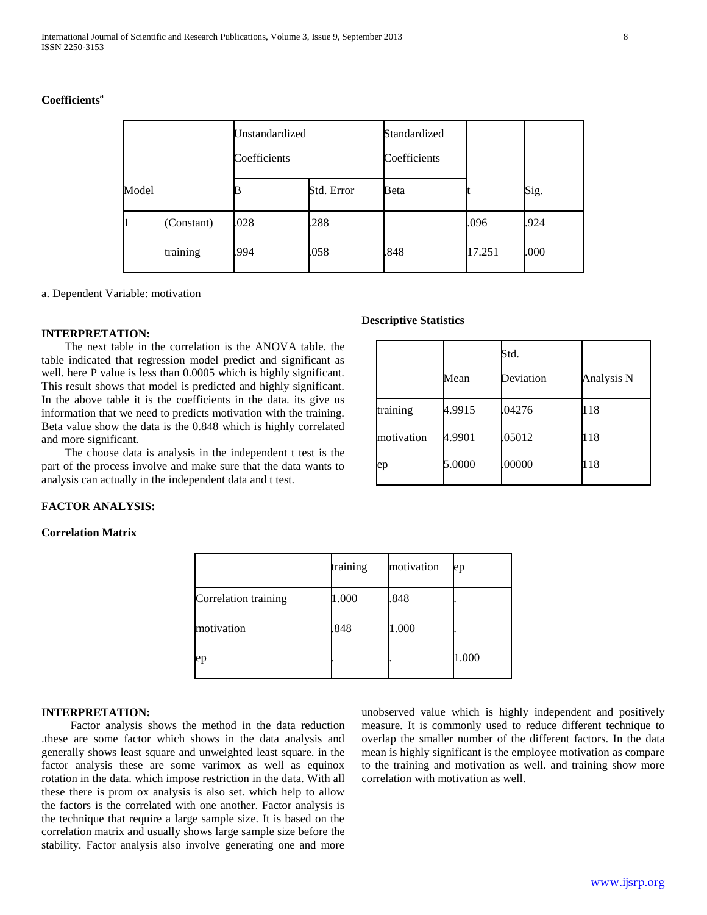### **Coefficients<sup>a</sup>**

|       |            | Unstandardized<br>Coefficients |            | Standardized<br>Coefficients |        |      |
|-------|------------|--------------------------------|------------|------------------------------|--------|------|
| Model |            |                                | Std. Error | Beta                         |        | Sig. |
|       | (Constant) | .028                           | .288       |                              | .096   | .924 |
|       | training   | .994                           | .058       | .848                         | 17.251 | .000 |

a. Dependent Variable: motivation

#### **INTERPRETATION:**

 The next table in the correlation is the ANOVA table. the table indicated that regression model predict and significant as well. here P value is less than 0.0005 which is highly significant. This result shows that model is predicted and highly significant. In the above table it is the coefficients in the data. its give us information that we need to predicts motivation with the training. Beta value show the data is the 0.848 which is highly correlated and more significant.

 The choose data is analysis in the independent t test is the part of the process involve and make sure that the data wants to analysis can actually in the independent data and t test.

#### **FACTOR ANALYSIS:**

# **Correlation Matrix**

|                      | training | motivation | ep    |
|----------------------|----------|------------|-------|
| Correlation training | 1.000    | .848       |       |
| motivation           | .848     | 1.000      |       |
| ep                   |          |            | 1.000 |

# **INTERPRETATION:**

 Factor analysis shows the method in the data reduction .these are some factor which shows in the data analysis and generally shows least square and unweighted least square. in the factor analysis these are some varimox as well as equinox rotation in the data. which impose restriction in the data. With all these there is prom ox analysis is also set. which help to allow the factors is the correlated with one another. Factor analysis is the technique that require a large sample size. It is based on the correlation matrix and usually shows large sample size before the stability. Factor analysis also involve generating one and more

unobserved value which is highly independent and positively measure. It is commonly used to reduce different technique to overlap the smaller number of the different factors. In the data mean is highly significant is the employee motivation as compare to the training and motivation as well. and training show more correlation with motivation as well.

#### **Descriptive Statistics**

|            | Mean   | Std.<br>Deviation | Analysis N |
|------------|--------|-------------------|------------|
| training   | 4.9915 | .04276            | 118        |
| motivation | 4.9901 | .05012            | 118        |
| ep         | 5.0000 | .00000            | 118        |